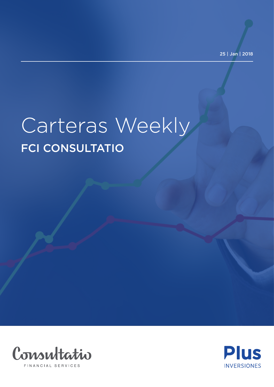25 | Jan | 2018

## Carteras Weekly FCI CONSULTATIO



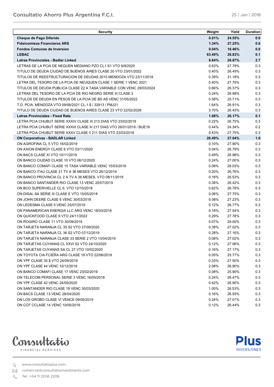**Plus INVERSIONES** 

| <b>Security</b>                                                                                  | Weight         | Yield  | <b>Duration</b> |
|--------------------------------------------------------------------------------------------------|----------------|--------|-----------------|
| Cheque de Pago Diferido                                                                          | 0.01%          | 24.55% | 0.0             |
| <b>Fideicomisos Financieros ARS</b>                                                              | 1.34%          | 27.25% | 0.6             |
| <b>Fondos Comunes de Inversion</b>                                                               | 0.04%          | 16.46% | 0.0             |
| <b>LEBAC</b>                                                                                     | 63.49%         | 26.83% | 0.1             |
| Letras Provinciales - Badlar Linked                                                              | 8.64%          | 26.87% | 2.7             |
| LETRAS DE LA PCIA DE NEQUEN MEDIANO PZO CL1 S1 VTO 9/9/2020                                      | 0.63%          | 27.78% | 0.3             |
| TITULO DE DEUDA CIUDAD DE BUENOS AIRES CLASE 20 VTO 23/01/2022                                   | 0.40%          | 26.49% | 0.3             |
| TITULOS DE REESTRUCTURACION DE DEUDAS 2015 MENDOZA VTO 23/11/2018                                | 0.39%          | 31.18% | 0.3             |
| LETRA DEL TESORO DE LA PCIA DE NEUQUEN CLASE 1 SERIE 1 VENC 2021                                 | 0.40%          | 27.76% | 0.3             |
| TITULOS DE DEUDA PUBLICA CLASE 22 A TASA VARIABLE CON VENC 29/03/2024                            | 0.66%          | 26.37% | 0.3             |
| LETRAS DEL TESORO DE LA PCIA DE RIO NEGRO SERIE III CLASE 3                                      | 0.24%          | 26.98% | 0.3             |
| TITULOS DE DEUDA EN PESOS DE LA PCIA DE BS AS VENC 31/05/2022                                    | 0.58%          | 25.71% | 0.3             |
| T.D. PCIA. MENDOZA VTO 09/06/2021 CL.1 \$ / 32913 / PMJ21                                        | 1.64%          | 26.91% | 0.3             |
| TITULO DE DEUDA CIUDAD DE BUENOS AIRES CLASE 23 VTO 22/02/2028                                   | 3.70%          | 26.45% | 0.3             |
| <b>Letras Provinciales - Fixed Rate</b>                                                          | 1.08%          | 26.17% | 0.1             |
| LETRA PCIA CHUBUT SERIE XXXIV CLASE III 213 DIAS VTO 23/02/2018                                  | 0.22%          | 26.75% | 0.3             |
| LETRA PCIA CHUBUT SERIE XXXIII CLASE III 217 DIAS VTO 26/01/2018 / BUE18                         | 0.44%          | 24.34% | 0.2             |
| LETRA PCIA CHUBUT SERIE XXXV CLASE II 211 DIAS VTO 23/03/2018                                    | 0.43%          | 27.75% | 0.3             |
| <b>ON Corporativas - BADLAR Linked</b>                                                           | 28.49%         | 27.04% | 1.6             |
| ON AGROFINA CL 5 VTO 16/02/2019                                                                  | 0.10%          | 27.90% | 0.3             |
| ON AXION ENERGY CLASE 6 VTO 03/11/2020                                                           | 0.04%          | 26.79% | 0.3             |
| ON BACS CLASE XI VTO 10/11/2019                                                                  | 0.49%          | 26.98% | 0.3             |
| ON BANCO CIUDAD CLASE 10 VTO 06/12/2020                                                          | 0.24%          | 27.00% | 0.3             |
| ON BANCO COMAFI CLASE 15 TASA VARIABLE VENC 15/03/2018                                           | 0.08%          | 28.03% | 0.3             |
| ON BANCO ITAU CLASE 21 TV A 36 MESES VTO 26/12/2019                                              | 0.20%          | 26.76% | 0.3             |
| ON BANCO PROVINCIA CL 2 A TV A 36 MESES, VTO 08/11/2019                                          | 0.16%          | 26.53% | 0.3             |
| ON BANCO SANTANDER RIO CLASE 13 VENC 20/07/2019                                                  | 0.38%          | 26.42% | 0.3             |
| ON BCO SUPERVIELLE CL 6, VTO 12/10/2018                                                          | 0.62%          | 26.78% | 0.3             |
| ON DISAL SA SERIE III CLASE E VTO 15/05/2018                                                     | 0.06%          | 27.75% | 0.3             |
| ON JOHN DEERE CLASE 6 VENC 30/03/2018                                                            | 0.08%          | 27.23% | 0.3             |
| ON LEDESMA CLASE 5 VENC 25/07/2019                                                               | 0.12%          | 26.77% | 0.3             |
| ON PANAMERICAN ENERGIA LLC ARG VENC 18/03/2018                                                   | 0.18%          | 27.54% | 0.3             |
| ON QUICKFOOD CLASE 9 VTO 24/11/2022                                                              | 0.29%          | 27.78% | 0.3             |
| ON ROGIRO CLASE 11 VTO 30/09/2019                                                                | 0.07%          | 29.00% | 0.3             |
|                                                                                                  |                | 27.02% |                 |
| ON TARJETA NARANJA CL 35 S2 VTO 27/09/2020                                                       | 0.39%<br>0.28% | 27.16% | 0.3<br>0.3      |
| ON TARJETA NARANJA CL 36 S2 VTO 07/12/2019<br>ON TARJETA NARANJA CLASE 33 SERIE 2 VTO 13/04/2019 |                |        |                 |
| ON TARJETAS CUYANAS CL XXVI S2 VTO 24/10/2020                                                    | 0.08%          | 27.02% | 0.3             |
|                                                                                                  | 0.12%          | 27.06% | 0.3             |
| ON TARJETAS CUYANAS SA CL 27 VTO 10/02/2020                                                      | 0.16%          | 27.17% | 0.3             |
| ON TOYOTA CIA FCIERA ARG CLASE 19 VTO 22/06/2018                                                 | 0.05%          | 25.77% | 0.3             |
| ON YPF CLASE 35 \$ VTO 24/09/2019                                                                | 0.33%          | 27.50% | 0.3             |
| ON YPF CLASE 44 VENC 10/12/2018                                                                  | 2.08%          | 26.90% | 0.3             |
| ON BANCO COMAFI CLASE 17 VENC 23/02/2019                                                         | 0.08%          | 25.90% | 0.3             |
| ON TELECOM PERSONAL SERIE 3 VENC 16/05/2018                                                      | 0.24%          | 26.47% | 0.3             |
| ON YPF CLASE 42 VENC 24/09/2020                                                                  | 0.42%          | 26.90% | 0.3             |
| ON SANTANDER RIO CLASE 19 VENC 30/03/2020                                                        | 1.00%          | 26.53% | 0.3             |
| ON BACS CLASE 13 VENC 28/04/2020                                                                 | 0.16%          | 26.55% | 0.3             |
| ON LOS GROBO CLASE VI VENCE 09/05/2019                                                           | 0.24%          | 27.01% | 0.3             |
| ON CCF CCLASE 14 VENC 10/05/2019                                                                 | 0.12%          | 26.44% | 0.3             |

**CONSULTATIO AHORRO PLUS ARGENTINA F.C.I.**



FINANCIAL SERVICES

www.consultatioplus.com

comercial@consultatioinvestments.com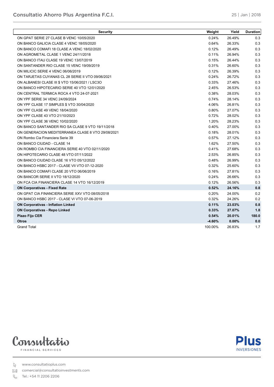| <b>Security</b>                                   | Weight   | Yield    | Duration |
|---------------------------------------------------|----------|----------|----------|
| ON GPAT SERIE 27 CLASE B VENC 10/05/2020          | 0.24%    | 26.49%   | 0.3      |
| ON BANCO GALICIA CLASE 4 VENC 18/05/2020          | 0.64%    | 26.33%   | 0.3      |
| ON BANCO COMAFI 18 CLASE A VENC 18/02/2020        | 0.12%    | 26.49%   | 0.3      |
| ON AGROMETAL CLASE 1 VENC 24/11/2018              | 0.11%    | 26.94%   | 0.3      |
| ON BANCO ITAU CLASE 19 VENC 13/07/2019            | 0.15%    | 26.44%   | 0.3      |
| ON SANTANDER RIO CLASE 15 VENC 19/09/2019         | 0.31%    | 26.60%   | 0.3      |
| ON MILICIC SERIE 4 VENC 06/06/2019                | 0.12%    | 26.39%   | 0.3      |
| ON TARJETAS CUYANAS CL 28 SERIE II VTO 09/06/2021 | 0.24%    | 26.72%   | 0.3      |
| ON ALBANESI CLASE III \$ VTO 15/06/2021 / LSC3O   | 0.33%    | 27.46%   | 0.3      |
| ON BANCO HIPOTECARIO SERIE 40 VTO 12/01/2020      | 2.45%    | 26.53%   | 0.3      |
| ON CENTRAL TERMICA ROCA 4 VTO 24-07-2021          | 0.38%    | 28.03%   | 0.3      |
| ON YPF SERIE 34 VENC 24/09/2024                   | 0.74%    | 28.14%   | 0.3      |
| ON YPF CLASE 17 SIMPLES \$ VTO 30/04/2020         | 4.06%    | 26.81%   | 0.3      |
| ON YPF CLASE 49 VENC 18/04/2020                   | 0.80%    | 27.07%   | 0.3      |
| ON YPF CLASE 43 VTO 21/10/2023                    | 0.72%    | 28.02%   | 0.3      |
| ON YPF CLASE 36 VENC 10/02/2020                   | 1.20%    | 28.23%   | 0.3      |
| ON BANCO SANTANDER RIO SA CLASE 9 VTO 19/11/2018  | 0.40%    | 27.00%   | 0.3      |
| ON GENERACION MEDITERRANEA CLASE 8 VTO 29/08/2021 | 0.18%    | 28.01%   | 0.3      |
| ON Rombo Cia Financiera Serie 39                  | 0.57%    | 27.12%   | 0.3      |
| ON BANCO CIUDAD - CLASE 14                        | 1.62%    | 27.50%   | 0.3      |
| ON ROMBO CIA FINANCIERA SERIE 40 VTO 02/11/2020   | 0.41%    | 27.68%   | 0.3      |
| ON HIPOTECARIO CLASE 48 VTO 07/11/2022            | 2.53%    | 26.85%   | 0.3      |
| ON BANCO CIUDAD CLASE 16 VTO 05/12/2022           | 0.48%    | 26.99%   | 0.3      |
| ON BANCO HSBC 2017 - CLASE VII VTO 07-12-2020     | 0.32%    | 25.60%   | 0.3      |
| ON BANCO COMAFI CLASE 20 VTO 06/06/2019           | 0.16%    | 27.81%   | 0.3      |
| ON BANCOR SERIE II VTO 18/12/2020                 | 0.24%    | 26.66%   | 0.3      |
| ON FCA CIA FINANCIERA CLASE 14 VTO 16/12/2019     | 0.12%    | 26.56%   | 0.3      |
| <b>ON Corporativas - Fixed Rate</b>               | 0.52%    | 24.16%   | 0.8      |
| ON GPAT CIA FINANCIERA SERIE XXV VTO 08/05/2018   | 0.20%    | 24.00%   | 0.2      |
| ON BANCO HSBC 2017 - CLASE VI VTO 07-06-2019      | 0.32%    | 24.26%   | 0.2      |
| <b>ON Corporativas - Inflation Linked</b>         | 0.11%    | 23.03%   | 0.8      |
| <b>ON Corporativas - Repo Linked</b>              | 0.33%    | 27.07%   | 1.8      |
| <b>Plazo Fijo CER</b>                             | 0.54%    | 20.01%   | 180.0    |
| <b>Otros</b>                                      | $-4.60%$ | $0.00\%$ | 0.0      |
| <b>Grand Total</b>                                | 100.00%  | 26.83%   | 1.7      |

**CONSULTATIO AHORRO PLUS ARGENTINA F.C.I.**



**Plus INVERSIONES** 

www.consultatioplus.com

comercial@consultatioinvestments.com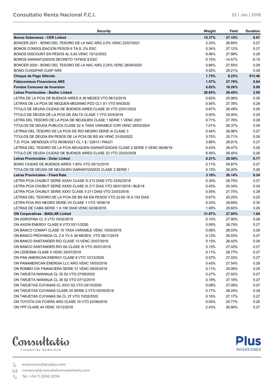**Plus** 

**INVERSIONES** 

| Security                                                                         | Weight   | Yield     | <b>Duration</b> |
|----------------------------------------------------------------------------------|----------|-----------|-----------------|
| <b>Bonos Soberanos - CER Linked</b>                                              | 10.37%   | 27.10%    | 6.91            |
| BONCER 2021 - BONO DEL TESORO DE LA NAC ARG 2,5% VENC 22/07/2021                 | 2.33%    | 26.89%    | 0.27            |
| BONOS CONSOLIDACION PESOS 6 TA.S. 2% ESC                                         | 0.34%    | 27.12%    | 0.27            |
| BONOS DISCOUNT EN PESOS AL 5.83 VENC 15/12/2033                                  | 6.46%    | 27.98%    | 0.28            |
| BONOS GARANTIZADOS DECRETO 1579/02 \$ ESC                                        | $0.15\%$ | $-14.57%$ | -0.15           |
| BONCER 2020 - BONO DEL TESORO DE LA NAC ARG 2.25% VENC 28/04/2020                | 0.66%    | 27.55%    | 0.28            |
| <b>BONO CUASIPAR CUAP ARS</b>                                                    | 0.42%    | 29.21%    | 0.29            |
| Cheque de Pago Diferido                                                          | 1.75%    | 8.23%     | 913.46          |
| <b>Fideicomisos Financieros ARS</b>                                              | 1.57%    | 27.76%    | 0.64            |
| <b>Fondos Comunes de Inversion</b>                                               | 0.02%    | 16.26%    | 0.00            |
| Letras Provinciales - Badlar Linked                                              | 26.65%   | 26.45%    | 2.85            |
| LETRA DE LA PCIA DE BUENOS AIRES A 36 MESES VTO 06/12/2019                       | 0.63%    | 25.98%    | 0.26            |
| LETRAS DE LA PCIA DE NEQUEN MEDIANO PZO CL1 S1 VTO 9/9/2020                      | 0.54%    | 27.78%    | 0.28            |
| TITULO DE DEUDA CIUDAD DE BUENOS AIRES CLASE 20 VTO 23/01/2022                   | 0.67%    | 26.49%    | 0.26            |
| TITULO DE DEUDA DE LA PCIA DE SALTA CLASE 1 VTO 24/4/2018                        | $0.00\%$ | 29.00%    | 0.29            |
| LETRA DEL TESORO DE LA PCIA DE NEUQUEN CLASE 1 SERIE 1 VENC 2021                 | 0.71%    | 27.76%    | 0.28            |
| TITULOS DE DEUDA PUBLICA CLASE 22 A TASA VARIABLE CON VENC 29/03/2024            | 7.01%    | 26.37%    | 0.26            |
| LETRAS DEL TESORO DE LA PCIA DE RIO NEGRO SERIE III CLASE 3                      | 0.44%    | 26.98%    | 0.27            |
| TITULOS DE DEUDA EN PESOS DE LA PCIA DE BS AS VENC 31/05/2022                    | 3.75%    | 25.71%    | 0.26            |
| T.D. PCIA. MENDOZA VTO 09/06/2021 CL.1 \$ / 32913 / PMJ21                        | 3.89%    | 26.91%    | 0.27            |
| LETRAS DEL TESORO DE LA PCIA NEUQUEN GARANTIZADAS CLASE 2 SERIE II VENC 06/06/18 | 0.43%    | 26.47%    | 0.26            |
| TITULO DE DEUDA CIUDAD DE BUENOS AIRES CLASE 23 VTO 22/02/2028                   | 8.56%    | 26.45%    | 0.26            |
| Letras Provinciales - Dolar Linked                                               | 0.21%    | 26.56%    | 0.77            |
| BONO CIUDAD DE BUENOS AIRES 1.95% VTO 20/12/2019                                 | 0.11%    | 26.87%    | 0.27            |
| TITULOS DE DEUDA DE NEUQUEN GARANTIZADOS CLASE 2 SERIE I                         | 0.10%    | 26.20%    | 0.26            |
| Letras Provinciales - Fixed Rate                                                 | 3.18%    | 26.14%    | 0.24            |
| LETRA PCIA CHUBUT SERIE XXXIV CLASE III 213 DIAS VTO 23/02/2018                  | 0.30%    | 26.75%    | 0.27            |
| LETRA PCIA CHUBUT SERIE XXXIII CLASE III 217 DIAS VTO 26/01/2018 / BUE18         | 0.43%    | 24.34%    | 0.24            |
| LETRA PCIA CHUBUT SERIE XXXV CLASE II 211 DIAS VTO 23/03/2018                    | 0.55%    | 27.75%    | 0.28            |
| LETRAS DEL TESORO DE LA PCIA DE BS AS EN PESOS VTO 22-02-18 A 154 DIAS           | 0.67%    | 25.25%    | 0.25            |
| LETRA PCIA RIO NEGRO SERIE VII CLASE 1 VTO 18/06/18                              | 0.24%    | 29.69%    | 0.30            |
| LETRAS DE CABA SERIE 1 A 190 DIAS VENC 02/08/2018                                | 1.00%    | 25.60%    | 0.26            |
| <b>ON Corporativas - BADLAR Linked</b>                                           | 31.87%   | 27.05%    | 1.64            |
| ON AGROFINA CL 5 VTO 16/02/2019                                                  | 0.10%    | 27.90%    | 0.28            |
| ON AXION ENERGY CLASE 6 VTO 03/11/2020                                           | 0.59%    | 26.79%    | 0.27            |
| ON BANCO COMAFI CLASE 15 TASA VARIABLE VENC 15/03/2018                           | 0.08%    | 28.03%    | 0.28            |
| ON BANCO PROVINCIA CL 2 A TV A 36 MESES, VTO 08/11/2019                          | 0.12%    | 26.53%    | 0.27            |
| ON BANCO SANTANDER RIO CLASE 13 VENC 20/07/2019                                  | 0.15%    | 26.42%    | 0.26            |
| ON BANCO SANTANDER RIO SA CLASE XI VTO 20/01/2019                                | 0.15%    | 27.02%    | 0.27            |
| ON LEDESMA CLASE 5 VENC 25/07/2019                                               | $0.11\%$ | 26.77%    | 0.27            |
| ON PAN AMERICAN ENERGY CLASE 8 VTO 10/12/2020                                    | 0.57%    | 27.03%    | 0.27            |
| ON PANAMERICAN ENERGIA LLC ARG VENC 18/03/2018                                   | 0.43%    | 27.54%    | 0.28            |
| ON ROMBO CIA FINANCIERA SERIE 31 VENC 09/05/2018                                 | 0.11%    | 25.06%    | 0.25            |
| ON TARJETA NARANJA CL 35 S2 VTO 27/09/2020                                       | 0.27%    | 27.02%    | 0.27            |
| ON TARJETA NARANJA CL 36 S2 VTO 07/12/2019                                       | 0.19%    | 27.16%    | 0.27            |
| ON TARJETAS CUYANAS CL XXVI S2 VTO 24/10/2020                                    | 0.08%    | 27.06%    | 0.27            |
| ON TARJETAS CUYANAS CLASE 24 SERIE 2 VTO 05/05/2019                              | 0.17%    | 28.24%    | 0.28            |
| ON TARJETAS CUYANAS SA CL 27 VTO 10/02/2020                                      | 0.16%    | 27.17%    | 0.27            |
| ON TOYOTA CIA FCIERA ARG CLASE 19 VTO 22/06/2018                                 | 0.05%    | 25.77%    | 0.26            |
| ON YPF CLASE 44 VENC 10/12/2018                                                  | 2.43%    | 26.90%    | 0.27            |

**CONSULTATIO RENTA NACIONAL F.C.I.**



FINANCIAL SERVICES

www.consultatioplus.com

comercial@consultatioinvestments.com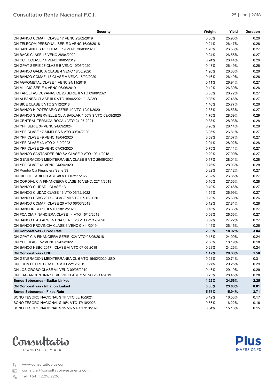**Plus INVERSIONES** 

| <b>Security</b>                                          | Weight | Yield  | <b>Duration</b> |
|----------------------------------------------------------|--------|--------|-----------------|
| ON BANCO COMAFI CLASE 17 VENC 23/02/2019                 | 0.08%  | 25.90% | 0.26            |
| ON TELECOM PERSONAL SERIE 3 VENC 16/05/2018              | 0.24%  | 26.47% | 0.26            |
| ON SANTANDER RIO CLASE 19 VENC 30/03/2020                | 1.20%  | 26.53% | 0.27            |
| ON BACS CLASE 13 VENC 28/04/2020                         | 0.24%  | 26.55% | 0.27            |
| ON CCF CCLASE 14 VENC 10/05/2019                         | 0.24%  | 26.44% | 0.26            |
| ON GPAT SERIE 27 CLASE B VENC 10/05/2020                 | 0.48%  | 26.49% | 0.26            |
| ON BANCO GALICIA CLASE 4 VENC 18/05/2020                 | 1.26%  | 26.33% | 0.26            |
| ON BANCO COMAFI 18 CLASE A VENC 18/02/2020               | 0.16%  | 26.49% | 0.26            |
| ON AGROMETAL CLASE 1 VENC 24/11/2018                     | 0.11%  | 26.94% | 0.27            |
| ON MILICIC SERIE 4 VENC 06/06/2019                       | 0.12%  | 26.39% | 0.26            |
| ON TARJETAS CUYANAS CL 28 SERIE II VTO 09/06/2021        | 0.35%  | 26.72% | 0.27            |
| ON ALBANESI CLASE III \$ VTO 15/06/2021 / LSC3O          | 0.08%  | 27.46% | 0.27            |
| ON BICE CLASE 5 VTO 27/12/2018                           | 1.46%  | 25.77% | 0.26            |
| ON BANCO HIPOTECARIO SERIE 40 VTO 12/01/2020             | 2.33%  | 26.53% | 0.27            |
| ON BANCO SUPERVIELLE CL A BADLAR 4.50% \$ VTO 09/08/2020 | 1.70%  | 28.69% | 0.29            |
| ON CENTRAL TERMICA ROCA 4 VTO 24-07-2021                 | 0.38%  | 28.03% | 0.28            |
| ON YPF SERIE 34 VENC 24/09/2024                          | 0.98%  | 28.14% | 0.28            |
| ON YPF CLASE 17 SIMPLES \$ VTO 30/04/2020                | 3.05%  | 26.81% | 0.27            |
| ON YPF CLASE 49 VENC 18/04/2020                          | 0.59%  | 27.07% | 0.27            |
| ON YPF CLASE 43 VTO 21/10/2023                           | 2.04%  | 28.02% | 0.28            |
| ON YPF CLASE 29 VENC 07/03/2020                          | 0.75%  | 27.11% | 0.27            |
| ON BANCO SANTANDER RIO SA CLASE 9 VTO 19/11/2018         | 0.20%  | 27.00% | 0.27            |
| ON GENERACION MEDITERRANEA CLASE 8 VTO 29/08/2021        | 0.17%  | 28.01% | 0.28            |
| ON YPF CLASE 41 VENC 24/09/2020                          | 0.76%  | 28.03% | 0.28            |
| ON Rombo Cia Financiera Serie 39                         | 0.32%  | 27.12% | 0.27            |
| ON HIPOTECARIO CLASE 48 VTO 07/11/2022                   | 2.32%  | 26.85% | 0.27            |
| ON CORDIAL CIA FINANCIERA CLASE 16 VENC. 22/11/2019      | 0.16%  | 27.56% | 0.28            |
| ON BANCO CIUDAD - CLASE 13                               | 0.40%  | 27.46% | 0.27            |
| ON BANCO CIUDAD CLASE 16 VTO 05/12/2022                  | 1.54%  | 26.99% | 0.27            |
| ON BANCO HSBC 2017 - CLASE VII VTO 07-12-2020            | 0.23%  | 25.60% | 0.26            |
| ON BANCO COMAFI CLASE 20 VTO 06/06/2019                  | 0.12%  | 27.81% | 0.28            |
| ON BANCOR SERIE II VTO 18/12/2020                        | 0.16%  | 26.66% | 0.27            |
| ON FCA CIA FINANCIERA CLASE 14 VTO 16/12/2019            | 0.08%  | 26.56% | 0.27            |
| ON BANCO ITAU ARGENTINA SERIE 23 VTO 21/12/2020          | 0.39%  | 27.22% | 0.27            |
| ON BANCO PROVINCIA CLASE 6 VENC 01/11/2019               | 1.45%  | 26.15% | 0.26            |
| <b>ON Corporativas - Fixed Rate</b>                      | 2.96%  | 18.92% | 3.04            |
| ON GPAT CIA FINANCIERA SERIE XXV VTO 08/05/2018          | 0.13%  | 24.00% | 0.24            |
| ON YPF CLASE 52 VENC 09/05/2022                          | 2.60%  | 18.19% | 0.18            |
| ON BANCO HSBC 2017 - CLASE VI VTO 07-06-2019             | 0.23%  | 24.26% | 0.24            |
| <b>ON Corporativas - USD</b>                             | 1.17%  | 29.33% | 1.58            |
| ON GENERACION MEDITERRANEA CL 6 VTO 16/02/2020 USD       | 0.21%  | 30.71% | 0.31            |
| ON JOHN DEERE CLASE IX VTO 22/12/2019                    | 0.27%  | 29.25% | 0.29            |
| ON LOS GROBO CLASE VII VENC 09/05/2019                   | 0.46%  | 29.19% | 0.29            |
| ON LIAG ARGENTINA SERIE VIII CLASE 2 VENC 25/11/2019     | 0.23%  | 28.45% | 0.28            |
| <b>Bonos Soberanos - Badlar Linked</b>                   | 1.22%  | 24.56% | 2.25            |
| <b>ON Corporativas - Inflation Linked</b>                | 0.38%  | 23.03% | 0.81            |
| <b>Bonos Soberanos - Fixed Rate</b>                      | 5.55%  | 15.94% | 3.71            |
| BONO TESORO NACIONAL \$ TF VTO 03/10/2021                | 0.42%  | 16.53% | 0.17            |
| BONO TESORO NACIONAL \$16% VTO 17/10/2023                | 0.86%  | 16.22% | 0.16            |
| BONO TESORO NACIONAL \$15.5% VTO 17/10/2026              | 0.64%  | 15.18% | 0.15            |

**CONSULTATION REPORT OF A REPORT OF A REPORT OF A REPORT OF A REPORT OF A REPORT OF A REPORT OF A REPORT OF A RE** 



FINANCIAL SERVICES

www.consultatioplus.com

comercial@consultatioinvestments.com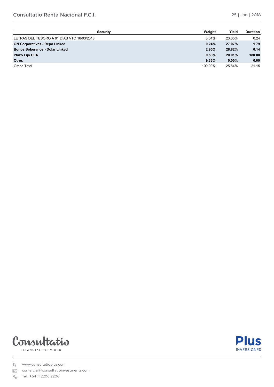| <b>Security</b>                            | Weight  | Yield    | <b>Duration</b> |
|--------------------------------------------|---------|----------|-----------------|
| LETRAS DEL TESORO A 91 DIAS VTO 16/03/2018 | 3.64%   | 23.65%   | 0.24            |
| <b>ON Corporativas - Repo Linked</b>       | 0.24%   | 27.07%   | 1.79            |
| <b>Bonos Soberanos - Dolar Linked</b>      | 2.95%   | 28.82%   | 0.14            |
| <b>Plazo Fijo CER</b>                      | 0.53%   | 20.01%   | 180.00          |
| <b>Otros</b>                               | 9.36%   | $0.00\%$ | 0.00            |
| <b>Grand Total</b>                         | 100.00% | 25.84%   | 21.15           |

**CONSULTATION REPORT OF A REPORT OF A REPORT OF A REPORT OF A REPORT OF A REPORT OF A REPORT OF A REPORT OF A R** 



FINANCIAL SERVICES

www.consultatioplus.com

comercial@consultatioinvestments.com

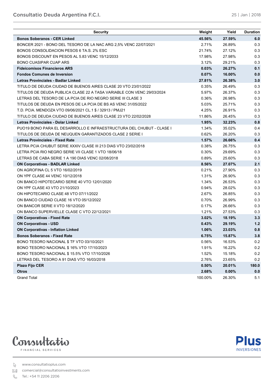**25-Jan-18**

**Plus** 

**INVERSIONES** 

| <b>Security</b>                                                       | Weight  | Yield  | <b>Duration</b> |
|-----------------------------------------------------------------------|---------|--------|-----------------|
| <b>Bonos Soberanos - CER Linked</b>                                   | 45.56%  | 27.59% | 6.0             |
| BONCER 2021 - BONO DEL TESORO DE LA NAC ARG 2,5% VENC 22/07/2021      | 2.71%   | 26.89% | 0.3             |
| BONOS CONSOLIDACION PESOS 6 TA.S. 2% ESC                              | 21.74%  | 27.12% | 0.3             |
| BONOS DISCOUNT EN PESOS AL 5.83 VENC 15/12/2033                       | 17.98%  | 27.98% | 0.3             |
| <b>BONO CUASIPAR CUAP ARS</b>                                         | 3.12%   | 29.21% | 0.3             |
| <b>Fideicomisos Financieros ARS</b>                                   | 0.03%   | 26.27% | 0.1             |
| <b>Fondos Comunes de Inversion</b>                                    | 0.07%   | 16.00% | 0.0             |
| <b>Letras Provinciales - Badlar Linked</b>                            | 27.81%  | 26.38% | 3.0             |
| TITULO DE DEUDA CIUDAD DE BUENOS AIRES CLASE 20 VTO 23/01/2022        | 0.35%   | 26.49% | 0.3             |
| TITULOS DE DEUDA PUBLICA CLASE 22 A TASA VARIABLE CON VENC 29/03/2024 | 5.97%   | 26.37% | 0.3             |
| LETRAS DEL TESORO DE LA PCIA DE RIO NEGRO SERIE III CLASE 3           | 0.36%   | 26.98% | 0.3             |
| TITULOS DE DEUDA EN PESOS DE LA PCIA DE BS AS VENC 31/05/2022         | 5.03%   | 25.71% | 0.3             |
| T.D. PCIA. MENDOZA VTO 09/06/2021 CL.1 \$ / 32913 / PMJ21             | 4.25%   | 26.91% | 0.3             |
| TITULO DE DEUDA CIUDAD DE BUENOS AIRES CLASE 23 VTO 22/02/2028        | 11.86%  | 26.45% | 0.3             |
| <b>Letras Provinciales - Dolar Linked</b>                             | 1.95%   | 32.23% | 0.8             |
| PUO19 BONO PARA EL DESARROLLO E INFRAESTRUCTURA DEL CHUBUT - CLASE I  | 1.34%   | 35.02% | 0.4             |
| TITULOS DE DEUDA DE NEUQUEN GARANTIZADOS CLASE 2 SERIE I              | 0.62%   | 26.20% | 0.3             |
| <b>Letras Provinciales - Fixed Rate</b>                               | 1.57%   | 26.66% | 0.4             |
| LETRA PCIA CHUBUT SERIE XXXIV CLASE III 213 DIAS VTO 23/02/2018       | 0.38%   | 26.75% | 0.3             |
| LETRA PCIA RIO NEGRO SERIE VII CLASE 1 VTO 18/06/18                   | 0.30%   | 29.69% | 0.3             |
| LETRAS DE CABA SERIE 1 A 190 DIAS VENC 02/08/2018                     | 0.89%   | 25.60% | 0.3             |
| <b>ON Corporativas - BADLAR Linked</b>                                | 8.56%   | 27.07% | 2.1             |
| ON AGROFINA CL 5 VTO 16/02/2019                                       | 0.21%   | 27.90% | 0.3             |
| ON YPF CLASE 44 VENC 10/12/2018                                       | 1.31%   | 26.90% | 0.3             |
| ON BANCO HIPOTECARIO SERIE 40 VTO 12/01/2020                          | 1.34%   | 26.53% | 0.3             |
| ON YPF CLASE 43 VTO 21/10/2023                                        | 0.94%   | 28.02% | 0.3             |
| ON HIPOTECARIO CLASE 48 VTO 07/11/2022                                | 2.67%   | 26.85% | 0.3             |
| ON BANCO CIUDAD CLASE 16 VTO 05/12/2022                               | 0.70%   | 26.99% | 0.3             |
| ON BANCOR SERIE II VTO 18/12/2020                                     | 0.17%   | 26.66% | 0.3             |
| ON BANCO SUPERVIELLE CLASE C VTO 22/12/2021                           | 1.21%   | 27.53% | 0.3             |
| <b>ON Corporativas - Fixed Rate</b>                                   | 3.02%   | 18.19% | 3.3             |
| <b>ON Corporativas - USD</b>                                          | 0.43%   | 29.19% | 1.2             |
| <b>ON Corporativas - Inflation Linked</b>                             | 1.06%   | 23.03% | 0.8             |
| <b>Bonos Soberanos - Fixed Rate</b>                                   | 6.75%   | 15.87% | 3.8             |
| BONO TESORO NACIONAL \$ TF VTO 03/10/2021                             | 0.56%   | 16.53% | 0.2             |
| BONO TESORO NACIONAL \$16% VTO 17/10/2023                             | 1.91%   | 16.22% | 0.2             |
| BONO TESORO NACIONAL \$15.5% VTO 17/10/2026                           | 1.52%   | 15.18% | 0.2             |
| LETRAS DEL TESORO A 91 DIAS VTO 16/03/2018                            | 2.76%   | 23.65% | 0.2             |
| <b>Plazo Fijo CER</b>                                                 | 0.50%   | 20.01% | 180.0           |
| <b>Otros</b>                                                          | 2.68%   | 0.00%  | 0.0             |
| <b>Grand Total</b>                                                    | 100.00% | 26.30% | 5.1             |



FINANCIAL SERVICES

www.consultatioplus.com

comercial@consultatioinvestments.com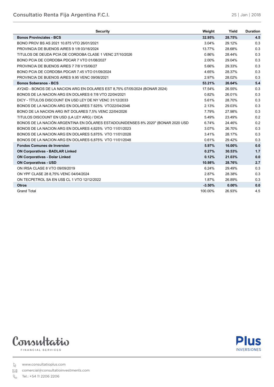| <b>Security</b>                                                                  | Weight   | Yield  | <b>Duration</b> |
|----------------------------------------------------------------------------------|----------|--------|-----------------|
| <b>Bonos Provinciales - BCS</b>                                                  | 32.95%   | 28.75% | 4.5             |
| BONO PROV BS AS 2021 10.875 VTO 26/01/2021                                       | 3.04%    | 29.12% | 0.3             |
| PROVINCIA DE BUENOS AIRES 9 1/8 03/16/2024                                       | 13.77%   | 28.68% | 0.3             |
| TITULOS DE DEUDA PCIA DE CORDOBA CLASE 1 VENC 27/10/2026                         | 0.86%    | 28.44% | 0.3             |
| BONO PCIA DE CORDOBA PDCAR 7 VTO 01/08/2027                                      | 2.00%    | 29.04% | 0.3             |
| PROVINCIA DE BUENOS AIRES 7 7/8 V15/06/27                                        | 5.66%    | 29.33% | 0.3             |
| BONO PCIA DE CORDOBA PDCAR 7.45 VTO 01/09/2024                                   | 4.65%    | 28.37% | 0.3             |
| PROVINCIA DE BUENOS AIRES 9.95 VENC 09/06/2021                                   | 2.97%    | 28.02% | 0.3             |
| <b>Bonos Soberanos - BCS</b>                                                     | 53.21%   | 26.64% | 5.4             |
| AY24D - BONOS DE LA NACION ARG EN DOLARES EST 8,75% 07/05/2024 (BONAR 2024)      | 17.54%   | 26.55% | 0.3             |
| BONOS DE LA NACION ARG EN DOLARES 6 7/8 VTO 22/04/2021                           | 0.82%    | 26.01% | 0.3             |
| DICY - TÍTULOS DISCOUNT EN USD LEY DE NY VENC 31/12/2033                         | 5.61%    | 28.70% | 0.3             |
| BONOS DE LA NACION ARG EN DOLARES 7.625% VTO22/04/2046                           | 2.13%    | 29.03% | 0.3             |
| BONO DE LA NACION ARG INT DOLARES 7,5% VENC 22/04/2026                           | 7.79%    | 27.98% | 0.3             |
| TITULOS DISCOUNT EN USD (LA LEY ARG) / DICA                                      | 5.49%    | 23.49% | 0.2             |
| BONOS DE LA NACIÓN ARGENTINA EN DÓLARES ESTADOUNIDENSES 8% 2020" (BONAR 2020 USD | 6.74%    | 24.46% | 0.2             |
| BONOS DE LA NACION ARG EN DOLARES 4,625% VTO 11/01/2023                          | 3.07%    | 26.70% | 0.3             |
| BONOS DE LA NACION ARG EN DOLARES 5,875% VTO 11/01/2028                          | 3.41%    | 28.17% | 0.3             |
| BONOS DE LA NACION ARG EN DOLARES 6,875% VTO 11/01/2048                          | 0.61%    | 29.42% | 0.3             |
| <b>Fondos Comunes de Inversion</b>                                               | 5.97%    | 16.00% | 0.0             |
| <b>ON Corporativas - BADLAR Linked</b>                                           | 0.27%    | 30.53% | 1.7             |
| <b>ON Corporativas - Dolar Linked</b>                                            | 0.12%    | 21.03% | 0.0             |
| <b>ON Corporativas - USD</b>                                                     | 10.98%   | 28.76% | 2.7             |
| ON IRSA CLASE 8 VTO 09/09/2019                                                   | 6.24%    | 29.49% | 0.3             |
| ON YPF CLASE 28 8,75% VENC 04/04/2024                                            | 2.87%    | 28.38% | 0.3             |
| ON TECPETROL SA EN US\$ CL 1 VTO 12/12/2022                                      | 1.87%    | 26.89% | 0.3             |
| <b>Otros</b>                                                                     | $-3.50%$ | 0.00%  | 0.0             |
| <b>Grand Total</b>                                                               | 100.00%  | 26.93% | 4.5             |

**CONSULTATIO RENTA FIJA ARGENTINA F.C.I.**





www.consultatioplus.com

comercial@consultatioinvestments.com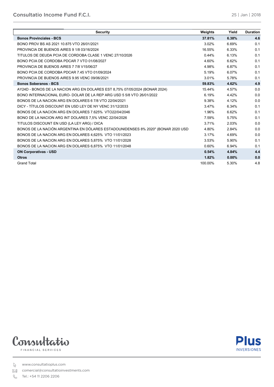| <b>Security</b>                                                                  | Weights | Yield    | <b>Duration</b> |
|----------------------------------------------------------------------------------|---------|----------|-----------------|
| <b>Bonos Provinciales - BCS</b>                                                  | 37.81%  | 6.38%    | 4.6             |
| BONO PROV BS AS 2021 10.875 VTO 26/01/2021                                       | 3.02%   | 6.69%    | 0.1             |
| PROVINCIA DE BUENOS AIRES 9 1/8 03/16/2024                                       | 16.55%  | 6.33%    | 0.1             |
| TITULOS DE DEUDA PCIA DE CORDOBA CLASE 1 VENC 27/10/2026                         | 0.44%   | 6.13%    | 0.1             |
| BONO PCIA DE CORDOBA PDCAR 7 VTO 01/08/2027                                      | 4.60%   | 6.62%    | 0.1             |
| PROVINCIA DE BUENOS AIRES 7 7/8 V15/06/27                                        | 4.98%   | 6.87%    | 0.1             |
| BONO PCIA DE CORDOBA PDCAR 7.45 VTO 01/09/2024                                   | 5.19%   | 6.07%    | 0.1             |
| PROVINCIA DE BUENOS AIRES 9.95 VENC 09/06/2021                                   | 3.01%   | 5.78%    | 0.1             |
| <b>Bonos Soberanos - BCS</b>                                                     | 59.83%  | 4.62%    | 4.9             |
| AY24D - BONOS DE LA NACION ARG EN DOLARES EST 8.75% 07/05/2024 (BONAR 2024)      | 15.44%  | 4.57%    | 0.0             |
| BONO INTERNACIONAL EURO- DOLAR DE LA REP ARG USD 5 5/8 VTO 26/01/2022            | 6.19%   | 4.42%    | 0.0             |
| BONOS DE LA NACION ARG EN DOLARES 6 7/8 VTO 22/04/2021                           | 9.38%   | 4.12%    | 0.0             |
| DICY - TÍTULOS DISCOUNT EN USD LEY DE NY VENC 31/12/2033                         | 3.47%   | 6.34%    | 0.1             |
| BONOS DE LA NACION ARG EN DOLARES 7.625% VTO22/04/2046                           | 1.96%   | 6.62%    | 0.1             |
| BONO DE LA NACION ARG INT DOLARES 7,5% VENC 22/04/2026                           | 7.59%   | 5.75%    | 0.1             |
| TITULOS DISCOUNT EN USD (LA LEY ARG) / DICA                                      | 3.71%   | 2.03%    | 0.0             |
| BONOS DE LA NACIÓN ARGENTINA EN DÓLARES ESTADOUNIDENSES 8% 2020" (BONAR 2020 USD | 4.80%   | 2.84%    | 0.0             |
| BONOS DE LA NACION ARG EN DOLARES 4,625% VTO 11/01/2023                          | 3.17%   | 4.69%    | 0.0             |
| BONOS DE LA NACION ARG EN DOLARES 5.875% VTO 11/01/2028                          | 3.53%   | 5.90%    | 0.1             |
| BONOS DE LA NACION ARG EN DOLARES 6,875% VTO 11/01/2048                          | 0.60%   | 6.94%    | 0.1             |
| <b>ON Corporativas - USD</b>                                                     | 0.54%   | 4.84%    | 4.4             |
| <b>Otros</b>                                                                     | 1.82%   | $0.00\%$ | 0.0             |
| <b>Grand Total</b>                                                               | 100.00% | 5.30%    | 4.8             |

**CONSULTATION INCOME FUND FIND FOR A SECOND FIND FOR A SECOND FIND FOR A SECOND FIND FOR A SECOND FIND FOR A SECOND FIND FOR A SECOND FIND FOR A SECOND FIND FOR A SECOND FIND FOR A SECOND FIND FOR A SECOND FIND FOR A SECON** 





www.consultatioplus.com

comercial@consultatioinvestments.com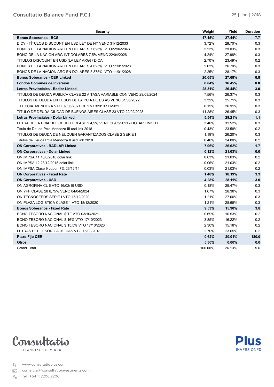| <b>Security</b>                                                         | Weight  | Yield    | <b>Duration</b> |
|-------------------------------------------------------------------------|---------|----------|-----------------|
| <b>Bonos Soberanos - BCS</b>                                            | 17.15%  | 27.44%   | 7.7             |
| DICY - TITULOS DISCOUNT EN USD LEY DE NY VENC 31/12/2033                | 3.72%   | 28.70%   | 0.3             |
| BONOS DE LA NACION ARG EN DOLARES 7.625% VTO22/04/2046                  | 2.22%   | 29.03%   | 0.3             |
| BONO DE LA NACION ARG INT DOLARES 7,5% VENC 22/04/2026                  | 4.24%   | 27.98%   | 0.3             |
| TITULOS DISCOUNT EN USD (LA LEY ARG) / DICA                             | 2.70%   | 23.49%   | 0.2             |
| BONOS DE LA NACION ARG EN DOLARES 4,625% VTO 11/01/2023                 | 2.02%   | 26.70%   | 0.3             |
| BONOS DE LA NACION ARG EN DOLARES 5,875% VTO 11/01/2028                 | 2.25%   | 28.17%   | 0.3             |
| <b>Bonos Soberanos - CER Linked</b>                                     | 20.65%  | 27.68%   | 6.8             |
| <b>Fondos Comunes de Inversion</b>                                      | 0.04%   | 16.45%   | 0.0             |
| Letras Provinciales - Badlar Linked                                     | 28.31%  | 26.44%   | 3.0             |
| TITULOS DE DEUDA PUBLICA CLASE 22 A TASA VARIABLE CON VENC 29/03/2024   | 7.56%   | 26.37%   | 0.3             |
| TITULOS DE DEUDA EN PESOS DE LA PCIA DE BS AS VENC 31/05/2022           | 3.32%   | 25.71%   | 0.3             |
| T.D. PCIA. MENDOZA VTO 09/06/2021 CL.1 \$ / 32913 / PMJ21               | 6.15%   | 26.91%   | 0.3             |
| TITULO DE DEUDA CIUDAD DE BUENOS AIRES CLASE 23 VTO 22/02/2028          | 11.28%  | 26.45%   | 0.3             |
| <b>Letras Provinciales - Dolar Linked</b>                               | 5.54%   | 29.21%   | 1.1             |
| LETRA DE LA PCIA DEL CHUBUT CLASE 2 4,5% VENC 30/03/2021 - DOLAR LINKED | 3.46%   | 31.52%   | 0.3             |
| Título de Deuda Pcia Mendoza III usd link 2018                          | 0.43%   | 23.58%   | 0.2             |
| TITULOS DE DEUDA DE NEUQUEN GARANTIZADOS CLASE 2 SERIE I                | 1.19%   | 26.20%   | 0.3             |
| Títulos de Deuda Pcia Mendoza II usd link 2018                          | 0.46%   | 24.80%   | 0.2             |
| <b>ON Corporativas - BADLAR Linked</b>                                  | 7.06%   | 26.62%   | 1.7             |
| <b>ON Corporativas - Dolar Linked</b>                                   | 0.12%   | 21.03%   | 0.0             |
| ON IMPSA 11 18/6/2016 dolar link                                        | 0.03%   | 21.03%   | 0.2             |
| ON IMPSA 12 28/12/2015 dolar link                                       | 0.06%   | 21.03%   | 0.2             |
| ON IMPSA Clase 9 cupon 7% 26/12/14                                      | 0.03%   | 21.03%   | 0.2             |
| <b>ON Corporativas - Fixed Rate</b>                                     | 1.40%   | 18.19%   | 3.3             |
| <b>ON Corporativas - USD</b>                                            | 4.28%   | 28.11%   | 3.0             |
| ON AGROFINA CL 6 VTO 16/02/19 USD                                       | 0.18%   | 29.47%   | 0.3             |
| ON YPF CLASE 28 8,75% VENC 04/04/2024                                   | 1.67%   | 28.38%   | 0.3             |
| ON TECNOSEEDS SERIE I VTO 15/12/2020                                    | 1.21%   | 27.00%   | 0.3             |
| ON PLAZA LOGISTICA CLASE 1 VTO 18/12/2020                               | 1.21%   | 28.65%   | 0.3             |
| <b>Bonos Soberanos - Fixed Rate</b>                                     | 9.53%   | 15.90%   | 3.8             |
| BONO TESORO NACIONAL \$ TF VTO 03/10/2021                               | 0.69%   | 16.53%   | 0.2             |
| BONO TESORO NACIONAL \$16% VTO 17/10/2023                               | 3.85%   | 16.22%   | 0.2             |
| BONO TESORO NACIONAL \$15.5% VTO 17/10/2026                             | 2.30%   | 15.18%   | 0.2             |
| LETRAS DEL TESORO A 91 DIAS VTO 16/03/2018                              | 2.70%   | 23.65%   | 0.2             |
| <b>Plazo Fijo CER</b>                                                   | 0.62%   | 20.01%   | 180.0           |
| <b>Otros</b>                                                            | 5.30%   | $0.00\%$ | 0.0             |
| <b>Grand Total</b>                                                      | 100.00% | 26.13%   | 5.6             |

**CONSULTATIO BALANCE FUND F.C.I.**



FINANCIAL SERVICES

www.consultatioplus.com

comercial@consultatioinvestments.com

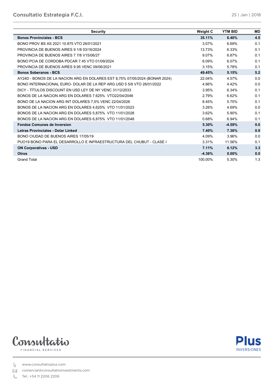| <b>Security</b>                                                             | <b>Weight C</b> | <b>YTM BID</b> | <b>MD</b> |
|-----------------------------------------------------------------------------|-----------------|----------------|-----------|
| <b>Bonos Provinciales - BCS</b>                                             | 35.11%          | 6.40%          | 4.5       |
| BONO PROV BS AS 2021 10.875 VTO 26/01/2021                                  | 3.07%           | 6.69%          | 0.1       |
| PROVINCIA DE BUENOS AIRES 9 1/8 03/16/2024                                  | 13.73%          | 6.33%          | 0.1       |
| PROVINCIA DE BUENOS AIRES 7 7/8 V15/06/27                                   | 9.07%           | 6.87%          | 0.1       |
| BONO PCIA DE CORDOBA PDCAR 7.45 VTO 01/09/2024                              | 6.09%           | 6.07%          | 0.1       |
| PROVINCIA DE BUENOS AIRES 9.95 VENC 09/06/2021                              | 3.15%           | 5.78%          | 0.1       |
| <b>Bonos Soberanos - BCS</b>                                                | 49.45%          | 5.15%          | 5.2       |
| AY24D - BONOS DE LA NACION ARG EN DOLARES EST 8,75% 07/05/2024 (BONAR 2024) | 22.04%          | 4.57%          | 0.0       |
| BONO INTERNACIONAL EURO- DOLAR DE LA REP ARG USD 5 5/8 VTO 26/01/2022       | 4.66%           | 4.42%          | 0.0       |
| DICY - TITULOS DISCOUNT EN USD LEY DE NY VENC 31/12/2033                    | 3.95%           | 6.34%          | 0.1       |
| BONOS DE LA NACION ARG EN DOLARES 7.625% VTO22/04/2046                      | 2.79%           | 6.62%          | 0.1       |
| BONO DE LA NACION ARG INT DOLARES 7,5% VENC 22/04/2026                      | 8.45%           | 5.75%          | 0.1       |
| BONOS DE LA NACION ARG EN DOLARES 4.625% VTO 11/01/2023                     | 3.26%           | 4.69%          | 0.0       |
| BONOS DE LA NACION ARG EN DOLARES 5,875% VTO 11/01/2028                     | 3.62%           | 5.90%          | 0.1       |
| BONOS DE LA NACION ARG EN DOLARES 6,875% VTO 11/01/2048                     | 0.68%           | 6.94%          | 0.1       |
| <b>Fondos Comunes de Inversion</b>                                          | 5.30%           | $-4.59%$       | 0.0       |
| Letras Provinciales - Dolar Linked                                          | 7.40%           | 7.36%          | 0.9       |
| BONO CIUDAD DE BUENOS AIRES 17/05/19                                        | 4.09%           | 3.96%          | 0.0       |
| PUO19 BONO PARA EL DESARROLLO E INFRAESTRUCTURA DEL CHUBUT - CLASE I        | 3.31%           | 11.56%         | 0.1       |
| <b>ON Corporativas - USD</b>                                                | 7.11%           | 6.12%          | 3.3       |
| <b>Otros</b>                                                                | $-4.36%$        | $0.00\%$       | 0.0       |
| <b>Grand Total</b>                                                          | 100.00%         | 5.30%          | 1.3       |

**CONSULTATIO ESTRATEGIA F.C.I.**



**Plus INVERSIONES** 

www.consultatioplus.com

comercial@consultatioinvestments.com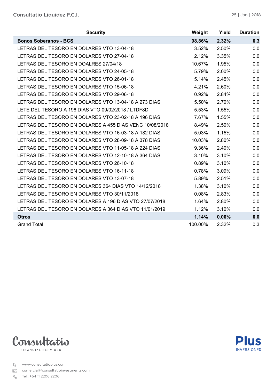| <b>Security</b>                                         | Weight  | Yield | <b>Duration</b> |
|---------------------------------------------------------|---------|-------|-----------------|
| <b>Bonos Soberanos - BCS</b>                            | 98.86%  | 2.32% | 0.3             |
| LETRAS DEL TESORO EN DOLARES VTO 13-04-18               | 3.52%   | 2.50% | 0.0             |
| LETRAS DEL TESORO EN DOLARES VTO 27-04-18               | 2.12%   | 3.35% | 0.0             |
| LETRAS DEL TESORO EN DOALRES 27/04/18                   | 10.67%  | 1.95% | 0.0             |
| LETRAS DEL TESORO EN DOLARES VTO 24-05-18               | 5.79%   | 2.00% | 0.0             |
| LETRAS DEL TESORO EN DOLARES VTO 26-01-18               | 5.14%   | 2.45% | 0.0             |
| LETRAS DEL TESORO EN DOLARES VTO 15-06-18               | 4.21%   | 2.60% | 0.0             |
| LETRAS DEL TESORO EN DOLARES VTO 29-06-18               | 0.92%   | 2.84% | 0.0             |
| LETRAS DEL TESORO EN DOLARES VTO 13-04-18 A 273 DIAS    | 5.50%   | 2.70% | 0.0             |
| LETE DEL TESORO A 196 DIAS VTO 09/02/2018 / LTDF8D      | 5.53%   | 1.55% | 0.0             |
| LETRAS DEL TESORO EN DOLARES VTO 23-02-18 A 196 DIAS    | 7.67%   | 1.55% | 0.0             |
| LETRAS DEL TESORO EN DOLARES A 455 DIAS VENC 10/08/2018 | 8.49%   | 2.50% | 0.0             |
| LETRAS DEL TESORO EN DOLARES VTO 16-03-18 A 182 DIAS    | 5.03%   | 1.15% | 0.0             |
| LETRAS DEL TESORO EN DOLARES VTO 28-09-18 A 378 DIAS    | 10.03%  | 2.80% | 0.0             |
| LETRAS DEL TESORO EN DOLARES VTO 11-05-18 A 224 DIAS    | 9.36%   | 2.40% | 0.0             |
| LETRAS DEL TESORO EN DOLARES VTO 12-10-18 A 364 DIAS    | 3.10%   | 3.10% | 0.0             |
| LETRAS DEL TESORO EN DOLARES VTO 26-10-18               | 0.89%   | 3.10% | 0.0             |
| LETRAS DEL TESORO EN DOLARES VTO 16-11-18               | 0.78%   | 3.09% | 0.0             |
| LETRAS DEL TESORO EN DOLARES VTO 13-07-18               | 5.89%   | 2.51% | 0.0             |
| LETRAS DEL TESORO EN DOLARES 364 DIAS VTO 14/12/2018    | 1.38%   | 3.10% | 0.0             |
| LETRAS DEL TESORO EN DOLARES VTO 30/11/2018             | 0.08%   | 2.83% | 0.0             |
| LETRAS DEL TESORO EN DOLARES A 196 DIAS VTO 27/07/2018  | 1.64%   | 2.80% | 0.0             |
| LETRAS DEL TESORO EN DOLARES A 364 DIAS VTO 11/01/2019  | 1.12%   | 3.10% | 0.0             |
| <b>Otros</b>                                            | 1.14%   | 0.00% | 0.0             |
| <b>Grand Total</b>                                      | 100.00% | 2.32% | 0.3             |



**Plus INVERSIONES** 

www.consultatioplus.com

comercial@consultatioinvestments.com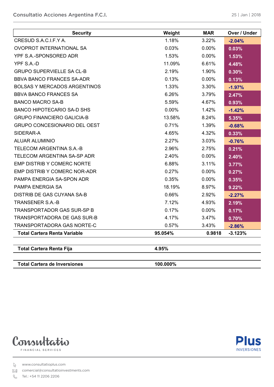| <b>Security</b>                     | Weight  | <b>MAR</b> | Over / Under |
|-------------------------------------|---------|------------|--------------|
| CRESUD S.A.C.I.F.Y A.               | 1.18%   | 3.22%      | $-2.04%$     |
| <b>OVOPROT INTERNATIONAL SA</b>     | 0.03%   | 0.00%      | 0.03%        |
| YPF S.A.-SPONSORED ADR              | 1.53%   | 0.00%      | 1.53%        |
| YPF S.A.-D                          | 11.09%  | 6.61%      | 4.48%        |
| <b>GRUPO SUPERVIELLE SA CL-B</b>    | 2.19%   | 1.90%      | 0.30%        |
| <b>BBVA BANCO FRANCES SA-ADR</b>    | 0.13%   | 0.00%      | 0.13%        |
| <b>BOLSAS Y MERCADOS ARGENTINOS</b> | 1.33%   | 3.30%      | $-1.97%$     |
| <b>BBVA BANCO FRANCES SA</b>        | 6.26%   | 3.79%      | 2.47%        |
| <b>BANCO MACRO SA-B</b>             | 5.59%   | 4.67%      | 0.93%        |
| <b>BANCO HIPOTECARIO SA-D SHS</b>   | 0.00%   | 1.42%      | $-1.42%$     |
| <b>GRUPO FINANCIERO GALICIA-B</b>   | 13.58%  | 8.24%      | 5.35%        |
| <b>GRUPO CONCESIONARIO DEL OEST</b> | 0.71%   | 1.39%      | $-0.68%$     |
| SIDERAR-A                           | 4.65%   | 4.32%      | 0.33%        |
| <b>ALUAR ALUMINIO</b>               | 2.27%   | 3.03%      | $-0.76%$     |
| TELECOM ARGENTINA S.A.-B            | 2.96%   | 2.75%      | 0.21%        |
| <b>TELECOM ARGENTINA SA-SP ADR</b>  | 2.40%   | 0.00%      | 2.40%        |
| <b>EMP DISTRIB Y COMERC NORTE</b>   | 6.88%   | 3.11%      | 3.77%        |
| EMP DISTRIB Y COMERC NOR-ADR        | 0.27%   | 0.00%      | 0.27%        |
| PAMPA ENERGIA SA-SPON ADR           | 0.35%   | 0.00%      | 0.35%        |
| PAMPA ENERGIA SA                    | 18.19%  | 8.97%      | 9.22%        |
| <b>DISTRIB DE GAS CUYANA SA-B</b>   | 0.66%   | 2.92%      | $-2.27%$     |
| <b>TRANSENER S.A.-B</b>             | 7.12%   | 4.93%      | 2.19%        |
| <b>TRANSPORTADOR GAS SUR-SP B</b>   | 0.17%   | 0.00%      | 0.17%        |
| <b>TRANSPORTADORA DE GAS SUR-B</b>  | 4.17%   | 3.47%      | 0.70%        |
| <b>TRANSPORTADORA GAS NORTE-C</b>   | 0.57%   | 3.43%      | $-2.86%$     |
| <b>Total Cartera Renta Variable</b> | 95.054% | 0.9818     | $-3.123%$    |
|                                     |         |            |              |

**Total Cartera Renta Fija 4.95%**

**Total Cartera de Inversiones 100.000%**



FINANCIAL SERVICES

www.consultatioplus.com

comercial@consultatioinvestments.com